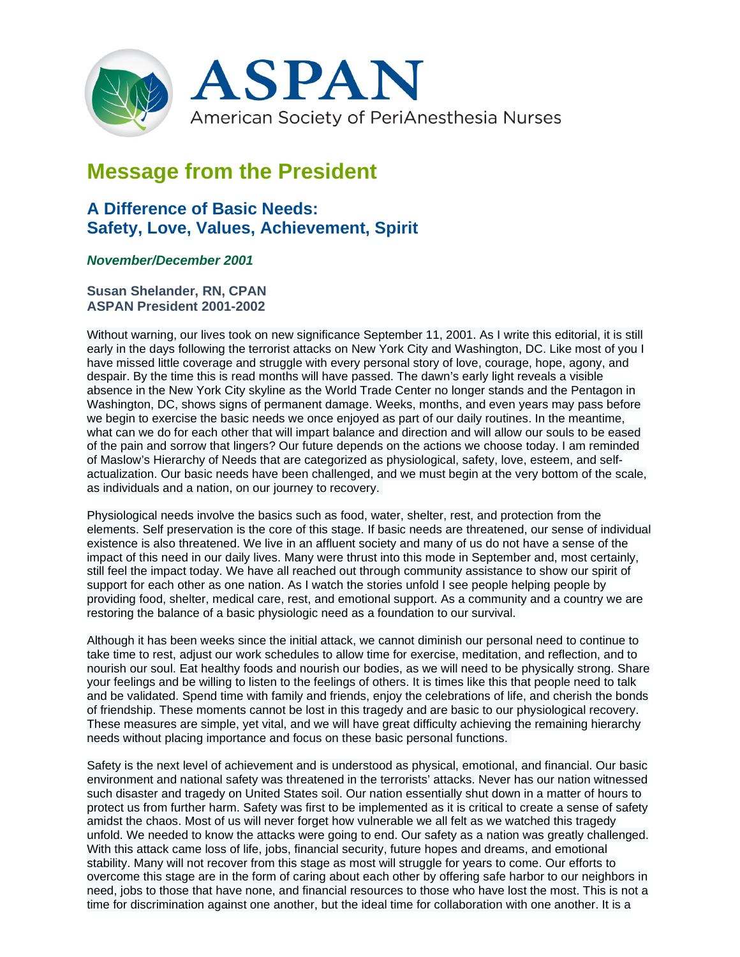

## **Message from the President**

## **A Difference of Basic Needs: Safety, Love, Values, Achievement, Spirit**

## *November/December 2001*

**Susan Shelander, RN, CPAN ASPAN President 2001-2002**

Without warning, our lives took on new significance September 11, 2001. As I write this editorial, it is still early in the days following the terrorist attacks on New York City and Washington, DC. Like most of you I have missed little coverage and struggle with every personal story of love, courage, hope, agony, and despair. By the time this is read months will have passed. The dawn's early light reveals a visible absence in the New York City skyline as the World Trade Center no longer stands and the Pentagon in Washington, DC, shows signs of permanent damage. Weeks, months, and even years may pass before we begin to exercise the basic needs we once enjoyed as part of our daily routines. In the meantime, what can we do for each other that will impart balance and direction and will allow our souls to be eased of the pain and sorrow that lingers? Our future depends on the actions we choose today. I am reminded of Maslow's Hierarchy of Needs that are categorized as physiological, safety, love, esteem, and selfactualization. Our basic needs have been challenged, and we must begin at the very bottom of the scale, as individuals and a nation, on our journey to recovery.

Physiological needs involve the basics such as food, water, shelter, rest, and protection from the elements. Self preservation is the core of this stage. If basic needs are threatened, our sense of individual existence is also threatened. We live in an affluent society and many of us do not have a sense of the impact of this need in our daily lives. Many were thrust into this mode in September and, most certainly, still feel the impact today. We have all reached out through community assistance to show our spirit of support for each other as one nation. As I watch the stories unfold I see people helping people by providing food, shelter, medical care, rest, and emotional support. As a community and a country we are restoring the balance of a basic physiologic need as a foundation to our survival.

Although it has been weeks since the initial attack, we cannot diminish our personal need to continue to take time to rest, adjust our work schedules to allow time for exercise, meditation, and reflection, and to nourish our soul. Eat healthy foods and nourish our bodies, as we will need to be physically strong. Share your feelings and be willing to listen to the feelings of others. It is times like this that people need to talk and be validated. Spend time with family and friends, enjoy the celebrations of life, and cherish the bonds of friendship. These moments cannot be lost in this tragedy and are basic to our physiological recovery. These measures are simple, yet vital, and we will have great difficulty achieving the remaining hierarchy needs without placing importance and focus on these basic personal functions.

Safety is the next level of achievement and is understood as physical, emotional, and financial. Our basic environment and national safety was threatened in the terrorists' attacks. Never has our nation witnessed such disaster and tragedy on United States soil. Our nation essentially shut down in a matter of hours to protect us from further harm. Safety was first to be implemented as it is critical to create a sense of safety amidst the chaos. Most of us will never forget how vulnerable we all felt as we watched this tragedy unfold. We needed to know the attacks were going to end. Our safety as a nation was greatly challenged. With this attack came loss of life, jobs, financial security, future hopes and dreams, and emotional stability. Many will not recover from this stage as most will struggle for years to come. Our efforts to overcome this stage are in the form of caring about each other by offering safe harbor to our neighbors in need, jobs to those that have none, and financial resources to those who have lost the most. This is not a time for discrimination against one another, but the ideal time for collaboration with one another. It is a